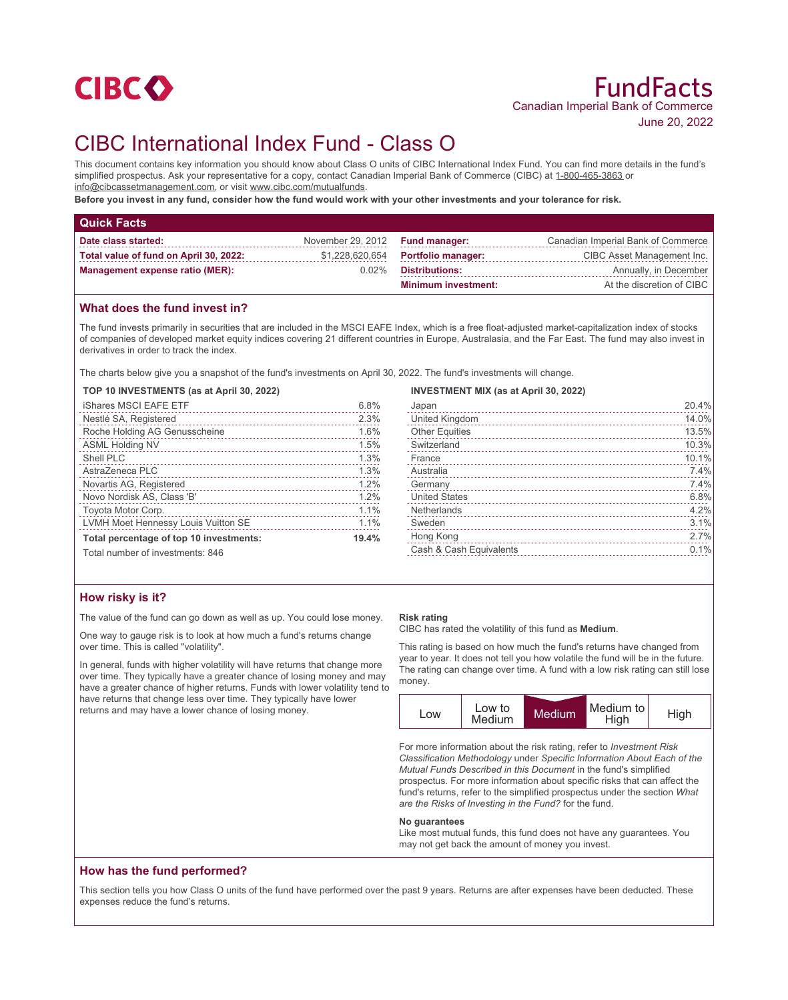

# CIBC International Index Fund - Class O

This document contains key information you should know about Class O units of CIBC International Index Fund. You can find more details in the fund's simplified prospectus. Ask your representative for a copy, contact Canadian Imperial Bank of Commerce (CIBC) at 1-800-465-3863 or info@cibcassetmanagement.com, or visit www.cibc.com/mutualfunds.

**Before you invest in any fund, consider how the fund would work with your other investments and your tolerance for risk.**

| <b>Quick Facts</b>                     |                                 |                                    |                                    |
|----------------------------------------|---------------------------------|------------------------------------|------------------------------------|
| Date class started:                    | November 29, 2012 Fund manager: |                                    | Canadian Imperial Bank of Commerce |
| Total value of fund on April 30, 2022: |                                 | \$1,228,620,654 Portfolio manager: | CIBC Asset Management Inc.         |
| Management expense ratio (MER):        | $0.02\%$                        | <b>Distributions:</b>              | Annually, in December              |
|                                        |                                 | <b>Minimum investment:</b>         | At the discretion of CIBC          |

# **What does the fund invest in?**

The fund invests primarily in securities that are included in the MSCI EAFE Index, which is a free float-adjusted market-capitalization index of stocks of companies of developed market equity indices covering 21 different countries in Europe, Australasia, and the Far East. The fund may also invest in derivatives in order to track the index.

The charts below give you a snapshot of the fund's investments on April 30, 2022. The fund's investments will change.

#### **TOP 10 INVESTMENTS (as at April 30, 2022)**

| <b>iShares MSCI EAFE ETF</b>            | 6.8%  |
|-----------------------------------------|-------|
| Nestlé SA, Registered                   | 2.3%  |
| Roche Holding AG Genusscheine           | 1.6%  |
| ASML Holding NV                         | 1.5%  |
| Shell PLC                               | 1.3%  |
| AstraZeneca PLC                         | 1.3%  |
| Novartis AG, Registered                 | 1.2%  |
| Novo Nordisk AS, Class 'B'              | 1.2%  |
| Toyota Motor Corp.                      | 1.1%  |
| LVMH Moet Hennessy Louis Vuitton SE     | 1.1%  |
| Total percentage of top 10 investments: | 19.4% |
| Total number of investments: 846        |       |

## **INVESTMENT MIX (as at April 30, 2022)**

| Japan                   | 20.4% |
|-------------------------|-------|
| United Kingdom          | 14.0% |
| <b>Other Equities</b>   | 13.5% |
| Switzerland             | 10.3% |
| France                  | 10.1% |
| Australia               | 7.4%  |
| Germany                 | 7.4%  |
| <b>United States</b>    | 6.8%  |
| Netherlands             | 4.2%  |
| Sweden                  | 3.1%  |
| Hong Kong               | 2.7%  |
| Cash & Cash Equivalents | 0.1%  |
|                         |       |

## **How risky is it?**

The value of the fund can go down as well as up. You could lose money.

One way to gauge risk is to look at how much a fund's returns change over time. This is called "volatility".

In general, funds with higher volatility will have returns that change more over time. They typically have a greater chance of losing money and may have a greater chance of higher returns. Funds with lower volatility tend to have returns that change less over time. They typically have lower returns and may have a lower chance of losing money.

#### **Risk rating**

CIBC has rated the volatility of this fund as **Medium**.

This rating is based on how much the fund's returns have changed from year to year. It does not tell you how volatile the fund will be in the future. The rating can change over time. A fund with a low risk rating can still lose money.



For more information about the risk rating, refer to *Investment Risk Classification Methodology* under *Specific Information About Each of the Mutual Funds Described in this Document* in the fund's simplified prospectus. For more information about specific risks that can affect the fund's returns, refer to the simplified prospectus under the section *What are the Risks of Investing in the Fund?* for the fund.

#### **No guarantees**

Like most mutual funds, this fund does not have any guarantees. You may not get back the amount of money you invest.

## **How has the fund performed?**

This section tells you how Class O units of the fund have performed over the past 9 years. Returns are after expenses have been deducted. These expenses reduce the fund's returns.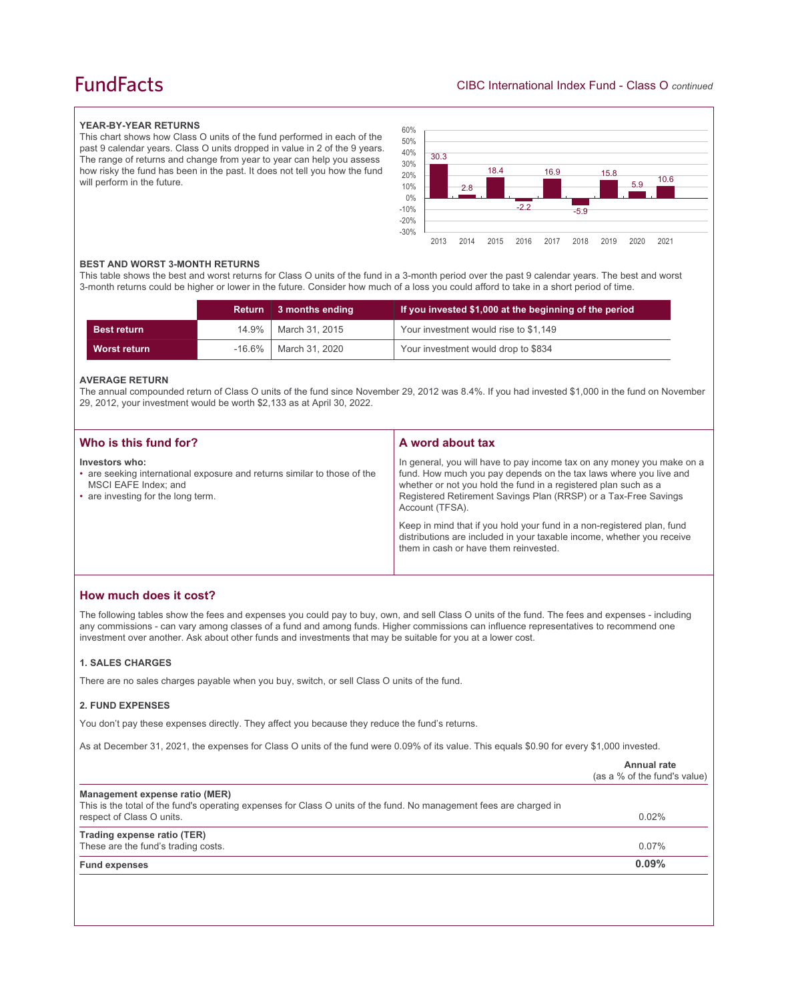# **FundFacts**

## **YEAR-BY-YEAR RETURNS**

This chart shows how Class O units of the fund performed in each of the past 9 calendar years. Class O units dropped in value in 2 of the 9 years. The range of returns and change from year to year can help you assess how risky the fund has been in the past. It does not tell you how the fund will perform in the future.



#### **BEST AND WORST 3-MONTH RETURNS**

This table shows the best and worst returns for Class O units of the fund in a 3-month period over the past 9 calendar years. The best and worst 3-month returns could be higher or lower in the future. Consider how much of a loss you could afford to take in a short period of time.

|                    | Return 3 months ending  | If you invested \$1,000 at the beginning of the period |
|--------------------|-------------------------|--------------------------------------------------------|
| <b>Best return</b> | 14.9%   March 31, 2015  | Your investment would rise to \$1,149                  |
| Worst return       | -16.6%   March 31, 2020 | Your investment would drop to \$834                    |

#### **AVERAGE RETURN**

The annual compounded return of Class O units of the fund since November 29, 2012 was 8.4%. If you had invested \$1,000 in the fund on November 29, 2012, your investment would be worth \$2,133 as at April 30, 2022.

| Who is this fund for?                                                                                                                                    | A word about tax                                                                                                                                                                                                                                                                                                                                                                                                                                                                                  |
|----------------------------------------------------------------------------------------------------------------------------------------------------------|---------------------------------------------------------------------------------------------------------------------------------------------------------------------------------------------------------------------------------------------------------------------------------------------------------------------------------------------------------------------------------------------------------------------------------------------------------------------------------------------------|
| Investors who:<br>• are seeking international exposure and returns similar to those of the<br>MSCI EAFE Index; and<br>• are investing for the long term. | In general, you will have to pay income tax on any money you make on a<br>fund. How much you pay depends on the tax laws where you live and<br>whether or not you hold the fund in a registered plan such as a<br>Registered Retirement Savings Plan (RRSP) or a Tax-Free Savings<br>Account (TFSA).<br>Keep in mind that if you hold your fund in a non-registered plan, fund<br>distributions are included in your taxable income, whether you receive<br>them in cash or have them reinvested. |
|                                                                                                                                                          |                                                                                                                                                                                                                                                                                                                                                                                                                                                                                                   |

# **How much does it cost?**

The following tables show the fees and expenses you could pay to buy, own, and sell Class O units of the fund. The fees and expenses - including any commissions - can vary among classes of a fund and among funds. Higher commissions can influence representatives to recommend one investment over another. Ask about other funds and investments that may be suitable for you at a lower cost.

## **1. SALES CHARGES**

There are no sales charges payable when you buy, switch, or sell Class O units of the fund.

### **2. FUND EXPENSES**

You don't pay these expenses directly. They affect you because they reduce the fund's returns.

As at December 31, 2021, the expenses for Class O units of the fund were 0.09% of its value. This equals \$0.90 for every \$1,000 invested.

|                                                                                                                                                                                    | Annual rate<br>(as a % of the fund's value) |
|------------------------------------------------------------------------------------------------------------------------------------------------------------------------------------|---------------------------------------------|
| Management expense ratio (MER)<br>This is the total of the fund's operating expenses for Class O units of the fund. No management fees are charged in<br>respect of Class O units. | 0.02%                                       |
| Trading expense ratio (TER)<br>These are the fund's trading costs.                                                                                                                 | $0.07\%$                                    |
| <b>Fund expenses</b>                                                                                                                                                               | 0.09%                                       |